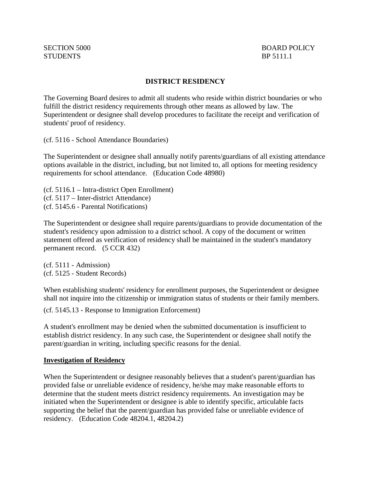# **DISTRICT RESIDENCY**

The Governing Board desires to admit all students who reside within district boundaries or who fulfill the district residency requirements through other means as allowed by law. The Superintendent or designee shall develop procedures to facilitate the receipt and verification of students' proof of residency.

(cf. 5116 - School Attendance Boundaries)

The Superintendent or designee shall annually notify parents/guardians of all existing attendance options available in the district, including, but not limited to, all options for meeting residency requirements for school attendance. (Education Code 48980)

(cf. 5116.1 – Intra-district Open Enrollment) (cf. 5117 – Inter-district Attendance) (cf. 5145.6 - Parental Notifications)

The Superintendent or designee shall require parents/guardians to provide documentation of the student's residency upon admission to a district school. A copy of the document or written statement offered as verification of residency shall be maintained in the student's mandatory permanent record. (5 CCR 432)

(cf. 5111 - Admission) (cf. 5125 - Student Records)

When establishing students' residency for enrollment purposes, the Superintendent or designee shall not inquire into the citizenship or immigration status of students or their family members.

(cf. 5145.13 - Response to Immigration Enforcement)

A student's enrollment may be denied when the submitted documentation is insufficient to establish district residency. In any such case, the Superintendent or designee shall notify the parent/guardian in writing, including specific reasons for the denial.

## **Investigation of Residency**

When the Superintendent or designee reasonably believes that a student's parent/guardian has provided false or unreliable evidence of residency, he/she may make reasonable efforts to determine that the student meets district residency requirements. An investigation may be initiated when the Superintendent or designee is able to identify specific, articulable facts supporting the belief that the parent/guardian has provided false or unreliable evidence of residency. (Education Code 48204.1, 48204.2)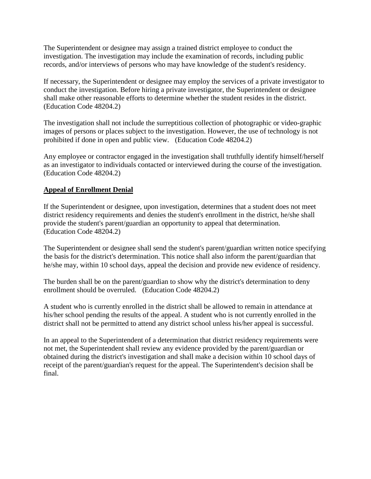The Superintendent or designee may assign a trained district employee to conduct the investigation. The investigation may include the examination of records, including public records, and/or interviews of persons who may have knowledge of the student's residency.

If necessary, the Superintendent or designee may employ the services of a private investigator to conduct the investigation. Before hiring a private investigator, the Superintendent or designee shall make other reasonable efforts to determine whether the student resides in the district. (Education Code 48204.2)

The investigation shall not include the surreptitious collection of photographic or video-graphic images of persons or places subject to the investigation. However, the use of technology is not prohibited if done in open and public view. (Education Code 48204.2)

Any employee or contractor engaged in the investigation shall truthfully identify himself/herself as an investigator to individuals contacted or interviewed during the course of the investigation. (Education Code 48204.2)

# **Appeal of Enrollment Denial**

If the Superintendent or designee, upon investigation, determines that a student does not meet district residency requirements and denies the student's enrollment in the district, he/she shall provide the student's parent/guardian an opportunity to appeal that determination. (Education Code 48204.2)

The Superintendent or designee shall send the student's parent/guardian written notice specifying the basis for the district's determination. This notice shall also inform the parent/guardian that he/she may, within 10 school days, appeal the decision and provide new evidence of residency.

The burden shall be on the parent/guardian to show why the district's determination to deny enrollment should be overruled. (Education Code 48204.2)

A student who is currently enrolled in the district shall be allowed to remain in attendance at his/her school pending the results of the appeal. A student who is not currently enrolled in the district shall not be permitted to attend any district school unless his/her appeal is successful.

In an appeal to the Superintendent of a determination that district residency requirements were not met, the Superintendent shall review any evidence provided by the parent/guardian or obtained during the district's investigation and shall make a decision within 10 school days of receipt of the parent/guardian's request for the appeal. The Superintendent's decision shall be final.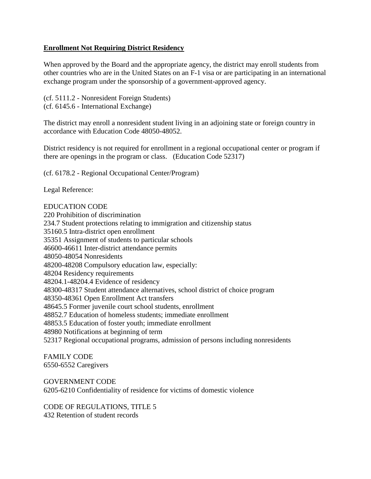## **Enrollment Not Requiring District Residency**

When approved by the Board and the appropriate agency, the district may enroll students from other countries who are in the United States on an F-1 visa or are participating in an international exchange program under the sponsorship of a government-approved agency.

(cf. 5111.2 - Nonresident Foreign Students) (cf. 6145.6 - International Exchange)

The district may enroll a nonresident student living in an adjoining state or foreign country in accordance with Education Code 48050-48052.

District residency is not required for enrollment in a regional occupational center or program if there are openings in the program or class. (Education Code 52317)

(cf. 6178.2 - Regional Occupational Center/Program)

Legal Reference:

## EDUCATION CODE

220 Prohibition of discrimination 234.7 Student protections relating to immigration and citizenship status 35160.5 Intra-district open enrollment 35351 Assignment of students to particular schools 46600-46611 Inter-district attendance permits 48050-48054 Nonresidents 48200-48208 Compulsory education law, especially: 48204 Residency requirements 48204.1-48204.4 Evidence of residency 48300-48317 Student attendance alternatives, school district of choice program 48350-48361 Open Enrollment Act transfers 48645.5 Former juvenile court school students, enrollment 48852.7 Education of homeless students; immediate enrollment 48853.5 Education of foster youth; immediate enrollment 48980 Notifications at beginning of term 52317 Regional occupational programs, admission of persons including nonresidents

FAMILY CODE 6550-6552 Caregivers

GOVERNMENT CODE 6205-6210 Confidentiality of residence for victims of domestic violence

CODE OF REGULATIONS, TITLE 5 432 Retention of student records